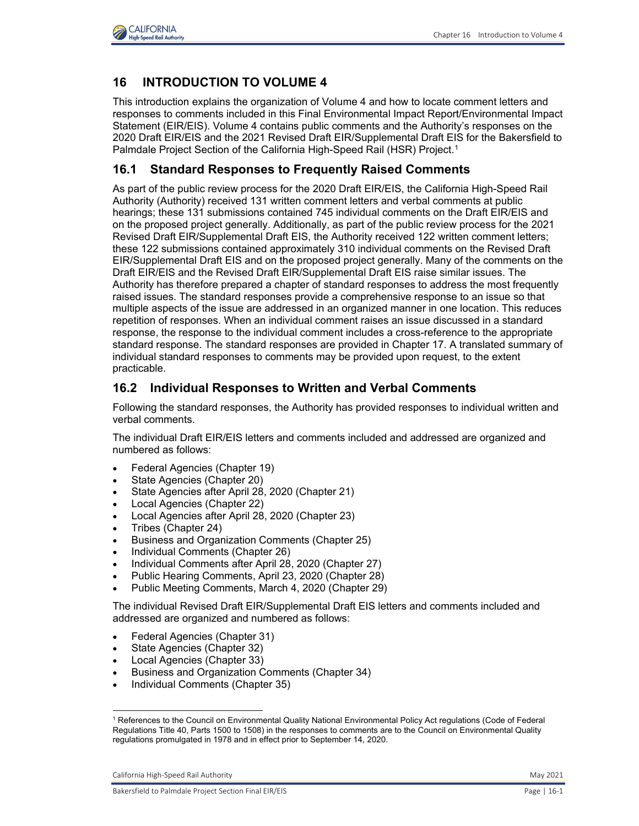

## **16 INTRODUCTION TO VOLUME 4**

 This introduction explains the organization of Volume 4 and how to locate comment letters and responses to comments included in this Final Environmental Impact Report/Environmental Impact Statement (EIR/EIS). Volume 4 contains public comments and the Authority's responses on the 2020 Draft EIR/EIS and the 2021 Revised Draft EIR/Supplemental Draft EIS for the Bakersfield to Palmdale Project Section of the California High-Speed Rail (HSR) Project.<sup>[1](#page-0-0)</sup>

#### **16.1 Standard Responses to Frequently Raised Comments**

 As part of the public review process for the 2020 Draft EIR/EIS, the California High-Speed Rail Authority (Authority) received 131 written comment letters and verbal comments at public hearings; these 131 submissions contained 745 individual comments on the Draft EIR/EIS and on the proposed project generally. Additionally, as part of the public review process for the 2021 Revised Draft EIR/Supplemental Draft EIS, the Authority received 122 written comment letters; EIR/Supplemental Draft EIS and on the proposed project generally. Many of the comments on the Draft EIR/EIS and the Revised Draft EIR/Supplemental Draft EIS raise similar issues. The Authority has therefore prepared a chapter of standard responses to address the most frequently multiple aspects of the issue are addressed in an organized manner in one location. This reduces repetition of responses. When an individual comment raises an issue discussed in a standard response, the response to the individual comment includes a cross-reference to the appropriate standard response. The standard responses are provided in Chapter 17. A translated summary of individual standard responses to comments may be provided upon request, to the extent these 122 submissions contained approximately 310 individual comments on the Revised Draft raised issues. The standard responses provide a comprehensive response to an issue so that practicable.

#### **16.2 Individual Responses to Written and Verbal Comments**

 Following the standard responses, the Authority has provided responses to individual written and verbal comments.

The individual Draft EIR/EIS letters and comments included and addressed are organized and numbered as follows:

- Federal Agencies (Chapter 19)
- State Agencies (Chapter 20)
- State Agencies after April 28, 2020 (Chapter 21)
- Local Agencies (Chapter 22)
- Local Agencies after April 28, 2020 (Chapter 23)
- Tribes (Chapter 24)
- Business and Organization Comments (Chapter 25)
- Individual Comments (Chapter 26)
- Individual Comments after April 28, 2020 (Chapter 27)
- Public Hearing Comments, April 23, 2020 (Chapter 28)
- Public Meeting Comments, March 4, 2020 (Chapter 29)

 The individual Revised Draft EIR/Supplemental Draft EIS letters and comments included and addressed are organized and numbered as follows:

- Federal Agencies (Chapter 31)
- State Agencies (Chapter 32)
- Local Agencies (Chapter 33)
- Business and Organization Comments (Chapter 34)
- Individual Comments (Chapter 35)

<span id="page-0-0"></span> $\overline{a}$  regulations promulgated in 1978 and in effect prior to September 14, 2020. 1 References to the Council on Environmental Quality National Environmental Policy Act regulations (Code of Federal Regulations Title 40, Parts 1500 to 1508) in the responses to comments are to the Council on Environmental Quality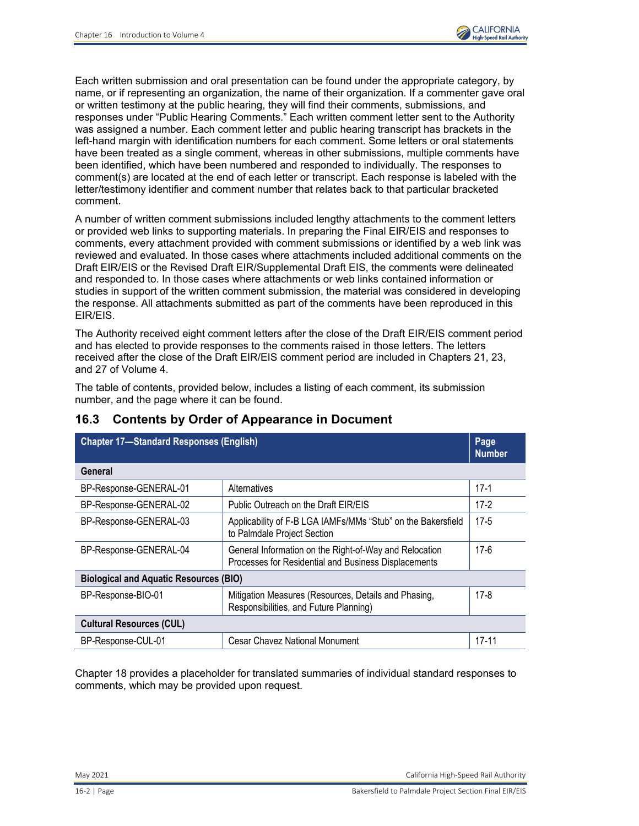

 Each written submission and oral presentation can be found under the appropriate category, by name, or if representing an organization, the name of their organization. If a commenter gave oral or written testimony at the public hearing, they will find their comments, submissions, and responses under "Public Hearing Comments." Each written comment letter sent to the Authority was assigned a number. Each comment letter and public hearing transcript has brackets in the left-hand margin with identification numbers for each comment. Some letters or oral statements have been treated as a single comment, whereas in other submissions, multiple comments have been identified, which have been numbered and responded to individually. The responses to comment(s) are located at the end of each letter or transcript. Each response is labeled with the letter/testimony identifier and comment number that relates back to that particular bracketed comment.

 A number of written comment submissions included lengthy attachments to the comment letters comments, every attachment provided with comment submissions or identified by a web link was reviewed and evaluated. In those cases where attachments included additional comments on the Draft EIR/EIS or the Revised Draft EIR/Supplemental Draft EIS, the comments were delineated and responded to. In those cases where attachments or web links contained information or studies in support of the written comment submission, the material was considered in developing the response. All attachments submitted as part of the comments have been reproduced in this or provided web links to supporting materials. In preparing the Final EIR/EIS and responses to EIR/EIS.

 The Authority received eight comment letters after the close of the Draft EIR/EIS comment period and has elected to provide responses to the comments raised in those letters. The letters received after the close of the Draft EIR/EIS comment period are included in Chapters 21, 23, and 27 of Volume 4.

and 27 of Volume 4.<br>The table of contents, provided below, includes a listing of each comment, its submission number, and the page where it can be found.

| <b>Chapter 17-Standard Responses (English)</b>                                                                                           |                                                                                                |           |  |  |
|------------------------------------------------------------------------------------------------------------------------------------------|------------------------------------------------------------------------------------------------|-----------|--|--|
| General                                                                                                                                  |                                                                                                |           |  |  |
| BP-Response-GENERAL-01                                                                                                                   | Alternatives                                                                                   | $17-1$    |  |  |
| BP-Response-GENERAL-02                                                                                                                   | Public Outreach on the Draft EIR/EIS                                                           | $17-2$    |  |  |
| BP-Response-GENERAL-03                                                                                                                   | Applicability of F-B LGA IAMFs/MMs "Stub" on the Bakersfield<br>to Palmdale Project Section    | $17-5$    |  |  |
| BP-Response-GENERAL-04<br>General Information on the Right-of-Way and Relocation<br>Processes for Residential and Business Displacements |                                                                                                |           |  |  |
| <b>Biological and Aquatic Resources (BIO)</b>                                                                                            |                                                                                                |           |  |  |
| BP-Response-BIO-01                                                                                                                       | Mitigation Measures (Resources, Details and Phasing,<br>Responsibilities, and Future Planning) | $17-8$    |  |  |
| <b>Cultural Resources (CUL)</b>                                                                                                          |                                                                                                |           |  |  |
| BP-Response-CUL-01                                                                                                                       | <b>Cesar Chavez National Monument</b>                                                          | $17 - 11$ |  |  |

# **16.3 Contents by Order of Appearance in Document**

 Chapter 18 provides a placeholder for translated summaries of individual standard responses to comments, which may be provided upon request.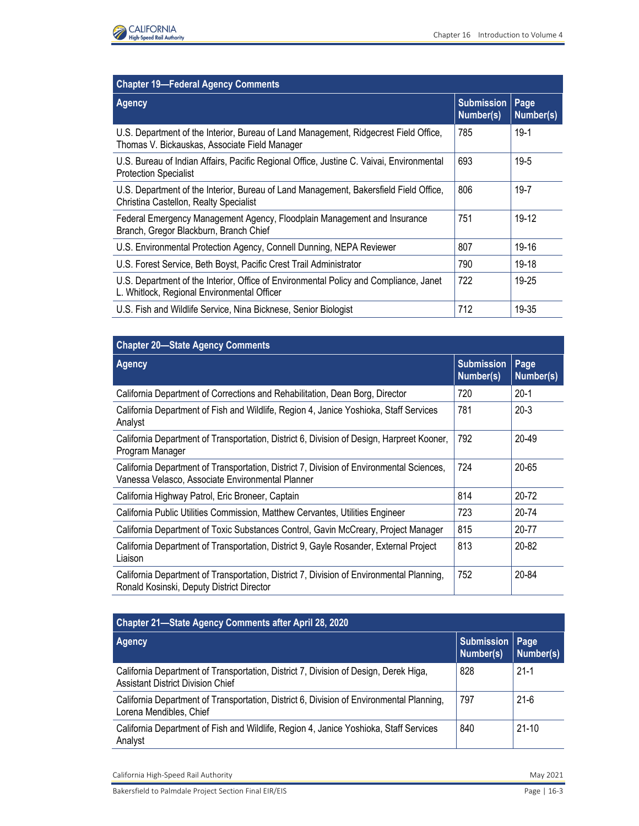

| <b>Chapter 19-Federal Agency Comments</b>                                                                                             |                                |                   |  |  |
|---------------------------------------------------------------------------------------------------------------------------------------|--------------------------------|-------------------|--|--|
| Agency                                                                                                                                | <b>Submission</b><br>Number(s) | Page<br>Number(s) |  |  |
| U.S. Department of the Interior, Bureau of Land Management, Ridgecrest Field Office,<br>Thomas V. Bickauskas, Associate Field Manager | 785                            | $19-1$            |  |  |
| U.S. Bureau of Indian Affairs, Pacific Regional Office, Justine C. Vaivai, Environmental<br><b>Protection Specialist</b>              | 693                            | $19 - 5$          |  |  |
| U.S. Department of the Interior, Bureau of Land Management, Bakersfield Field Office,<br>Christina Castellon, Realty Specialist       | 806                            | $19 - 7$          |  |  |
| Federal Emergency Management Agency, Floodplain Management and Insurance<br>Branch, Gregor Blackburn, Branch Chief                    | 751                            | $19-12$           |  |  |
| U.S. Environmental Protection Agency, Connell Dunning, NEPA Reviewer                                                                  | 807                            | 19-16             |  |  |
| U.S. Forest Service, Beth Boyst, Pacific Crest Trail Administrator                                                                    | 790                            | 19-18             |  |  |
| U.S. Department of the Interior, Office of Environmental Policy and Compliance, Janet<br>L. Whitlock, Regional Environmental Officer  | 722                            | 19-25             |  |  |
| U.S. Fish and Wildlife Service, Nina Bicknese, Senior Biologist                                                                       | 712                            | 19-35             |  |  |

| <b>High-Speed Rail Authority</b>                                                                                                             | Chapter 16 Introduction to Volume 4 |                   |
|----------------------------------------------------------------------------------------------------------------------------------------------|-------------------------------------|-------------------|
|                                                                                                                                              |                                     |                   |
| <b>Chapter 19-Federal Agency Comments</b>                                                                                                    |                                     |                   |
| <b>Agency</b>                                                                                                                                | <b>Submission</b><br>Number(s)      | Page<br>Number(s) |
| U.S. Department of the Interior, Bureau of Land Management, Ridgecrest Field Office,<br>Thomas V. Bickauskas, Associate Field Manager        | 785                                 | $19-1$            |
| U.S. Bureau of Indian Affairs, Pacific Regional Office, Justine C. Vaivai, Environmental<br><b>Protection Specialist</b>                     | 693                                 | 19-5              |
| U.S. Department of the Interior, Bureau of Land Management, Bakersfield Field Office,<br>Christina Castellon, Realty Specialist              | 806                                 | $19 - 7$          |
| Federal Emergency Management Agency, Floodplain Management and Insurance<br>Branch, Gregor Blackburn, Branch Chief                           | 751                                 | 19-12             |
| U.S. Environmental Protection Agency, Connell Dunning, NEPA Reviewer                                                                         | 807                                 | 19-16             |
| U.S. Forest Service, Beth Boyst, Pacific Crest Trail Administrator                                                                           | 790                                 | 19-18             |
| U.S. Department of the Interior, Office of Environmental Policy and Compliance, Janet<br>L. Whitlock, Regional Environmental Officer         | 722                                 | 19-25             |
| U.S. Fish and Wildlife Service, Nina Bicknese, Senior Biologist                                                                              | 712                                 | 19-35             |
|                                                                                                                                              |                                     |                   |
| <b>Chapter 20-State Agency Comments</b>                                                                                                      |                                     |                   |
| <b>Agency</b>                                                                                                                                | <b>Submission</b><br>Number(s)      | Page<br>Number(s) |
| California Department of Corrections and Rehabilitation, Dean Borg, Director                                                                 | 720                                 | $20 - 1$          |
| California Department of Fish and Wildlife, Region 4, Janice Yoshioka, Staff Services<br>Analyst                                             | 781                                 | $20 - 3$          |
| California Department of Transportation, District 6, Division of Design, Harpreet Kooner,<br>Program Manager                                 | 792                                 | 20-49             |
| California Department of Transportation, District 7, Division of Environmental Sciences,<br>Vanessa Velasco, Associate Environmental Planner | 724                                 | 20-65             |
| California Highway Patrol, Eric Broneer, Captain                                                                                             | 814                                 | $20 - 72$         |
| California Public Utilities Commission, Matthew Cervantes, Utilities Engineer                                                                | 723                                 | 20-74             |
| California Department of Toxic Substances Control, Gavin McCreary, Project Manager                                                           | 815                                 | $20 - 77$         |
| California Department of Transportation, District 9, Gayle Rosander, External Project<br>Liaison                                             | 813                                 | 20-82             |
| California Department of Transportation, District 7, Division of Environmental Planning,<br>Ronald Kosinski, Deputy District Director        | 752                                 | 20-84             |
| Chapter 21-State Agency Comments after April 28, 2020                                                                                        |                                     |                   |
| <b>Agency</b>                                                                                                                                | <b>Submission</b><br>Number(s)      | Page<br>Number(s) |
| California Department of Transportation, District 7, Division of Design, Derek Higa,<br><b>Assistant District Division Chief</b>             | 828                                 | $21 - 1$          |
| California Department of Transportation, District 6, Division of Environmental Planning,<br>Lorena Mendibles, Chief                          | 797                                 | $21-6$            |
| California Department of Fish and Wildlife, Region 4, Janice Yoshioka, Staff Services<br>Analyst                                             | 840                                 | $21 - 10$         |
| California High-Speed Rail Authority                                                                                                         |                                     | May 2021          |

| <b>Chapter 21-State Agency Comments after April 28, 2020</b>                                                                     |                                |                   |  |
|----------------------------------------------------------------------------------------------------------------------------------|--------------------------------|-------------------|--|
| <b>Agency</b>                                                                                                                    | <b>Submission</b><br>Number(s) | Page<br>Number(s) |  |
| California Department of Transportation, District 7, Division of Design, Derek Higa,<br><b>Assistant District Division Chief</b> | 828                            | $21-1$            |  |
| California Department of Transportation, District 6, Division of Environmental Planning,<br>Lorena Mendibles, Chief              | 797                            | $21-6$            |  |
| California Department of Fish and Wildlife, Region 4, Janice Yoshioka, Staff Services<br>Analyst                                 | 840                            | $21-10$           |  |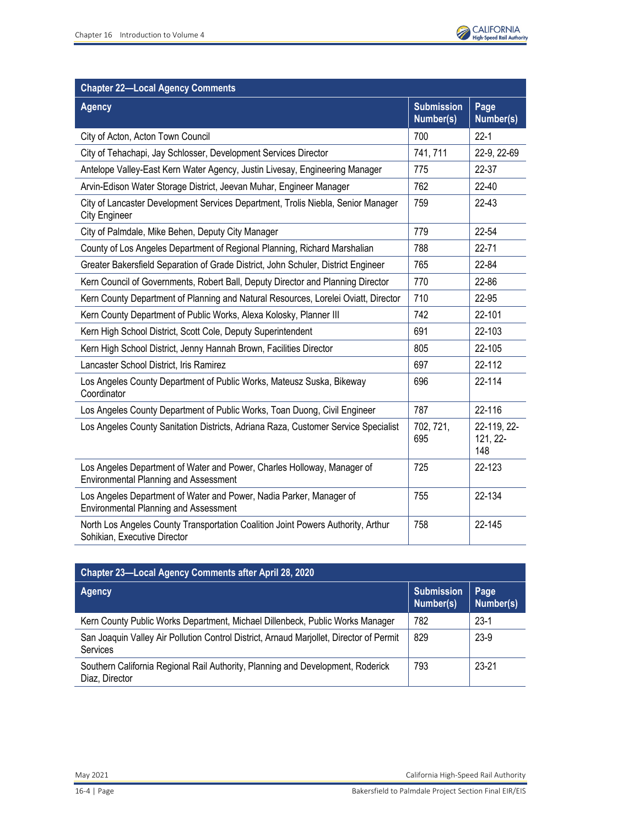

| <b>Chapter 22-Local Agency Comments</b>                                                                             |                                |                                |
|---------------------------------------------------------------------------------------------------------------------|--------------------------------|--------------------------------|
| <b>Agency</b>                                                                                                       | <b>Submission</b><br>Number(s) | Page<br>Number(s)              |
| City of Acton, Acton Town Council                                                                                   | 700                            | $22 - 1$                       |
| City of Tehachapi, Jay Schlosser, Development Services Director                                                     | 741, 711                       | 22-9, 22-69                    |
| Antelope Valley-East Kern Water Agency, Justin Livesay, Engineering Manager                                         | 775                            | 22-37                          |
| Arvin-Edison Water Storage District, Jeevan Muhar, Engineer Manager                                                 | 762                            | 22-40                          |
| City of Lancaster Development Services Department, Trolis Niebla, Senior Manager<br><b>City Engineer</b>            | 759                            | $22 - 43$                      |
| City of Palmdale, Mike Behen, Deputy City Manager                                                                   | 779                            | 22-54                          |
| County of Los Angeles Department of Regional Planning, Richard Marshalian                                           | 788                            | $22 - 71$                      |
| Greater Bakersfield Separation of Grade District, John Schuler, District Engineer                                   | 765                            | 22-84                          |
| Kern Council of Governments, Robert Ball, Deputy Director and Planning Director                                     | 770                            | 22-86                          |
| Kern County Department of Planning and Natural Resources, Lorelei Oviatt, Director                                  | 710                            | 22-95                          |
| Kern County Department of Public Works, Alexa Kolosky, Planner III                                                  |                                | 22-101                         |
| Kern High School District, Scott Cole, Deputy Superintendent                                                        | 691                            | 22-103                         |
| Kern High School District, Jenny Hannah Brown, Facilities Director                                                  | 805                            | 22-105                         |
| Lancaster School District, Iris Ramirez                                                                             |                                | 22-112                         |
| Los Angeles County Department of Public Works, Mateusz Suska, Bikeway<br>Coordinator                                | 696                            | 22-114                         |
| Los Angeles County Department of Public Works, Toan Duong, Civil Engineer                                           | 787                            | 22-116                         |
| Los Angeles County Sanitation Districts, Adriana Raza, Customer Service Specialist                                  | 702, 721,<br>695               | 22-119, 22-<br>121, 22-<br>148 |
| Los Angeles Department of Water and Power, Charles Holloway, Manager of<br>Environmental Planning and Assessment    | 725                            | 22-123                         |
| Los Angeles Department of Water and Power, Nadia Parker, Manager of<br><b>Environmental Planning and Assessment</b> | 755                            | 22-134                         |
| North Los Angeles County Transportation Coalition Joint Powers Authority, Arthur<br>Sohikian, Executive Director    | 758                            | 22-145                         |

| <b>Chapter 23-Local Agency Comments after April 28, 2020</b>                                               |                                |                   |  |
|------------------------------------------------------------------------------------------------------------|--------------------------------|-------------------|--|
| Agency                                                                                                     | <b>Submission</b><br>Number(s) | Page<br>Number(s) |  |
| Kern County Public Works Department, Michael Dillenbeck, Public Works Manager                              | 782                            | $23-1$            |  |
| San Joaquin Valley Air Pollution Control District, Arnaud Marjollet, Director of Permit<br><b>Services</b> | 829                            | $23-9$            |  |
| Southern California Regional Rail Authority, Planning and Development, Roderick<br>Diaz, Director          | 793                            | $23 - 21$         |  |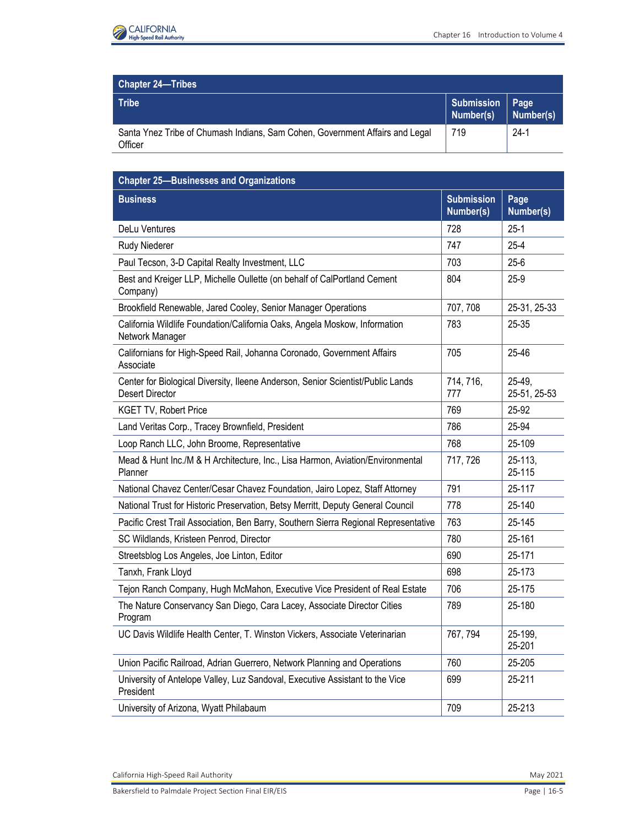

| <b>Chapter 24-Tribes</b>                                                                |                                |           |
|-----------------------------------------------------------------------------------------|--------------------------------|-----------|
| Tribe                                                                                   | Submission   Page<br>Number(s) | Number(s) |
| Santa Ynez Tribe of Chumash Indians, Sam Cohen, Government Affairs and Legal<br>Officer | 719                            | $24-1$    |

| <b>Chapter 24-Tribes</b>                                                                                  |                                |                        |
|-----------------------------------------------------------------------------------------------------------|--------------------------------|------------------------|
| <b>Tribe</b>                                                                                              | <b>Submission</b><br>Number(s) | Page<br>Number(s)      |
| Santa Ynez Tribe of Chumash Indians, Sam Cohen, Government Affairs and Legal<br>Officer                   | 719                            | $24-1$                 |
| <b>Chapter 25-Businesses and Organizations</b>                                                            |                                |                        |
| <b>Business</b>                                                                                           | <b>Submission</b><br>Number(s) | Page<br>Number(s)      |
| DeLu Ventures                                                                                             | 728                            | $25 - 1$               |
| Rudy Niederer                                                                                             | 747                            | $25 - 4$               |
| Paul Tecson, 3-D Capital Realty Investment, LLC                                                           | 703                            | $25 - 6$               |
| Best and Kreiger LLP, Michelle Oullette (on behalf of CalPortland Cement<br>Company)                      | 804                            | $25-9$                 |
| Brookfield Renewable, Jared Cooley, Senior Manager Operations                                             | 707, 708                       | 25-31, 25-33           |
| California Wildlife Foundation/California Oaks, Angela Moskow, Information<br>Network Manager             | 783                            | 25-35                  |
| Californians for High-Speed Rail, Johanna Coronado, Government Affairs<br>Associate                       | 705                            | 25-46                  |
| Center for Biological Diversity, Ileene Anderson, Senior Scientist/Public Lands<br><b>Desert Director</b> | 714, 716,<br>777               | 25-49,<br>25-51, 25-53 |
| <b>KGET TV, Robert Price</b>                                                                              | 769                            | 25-92                  |
| Land Veritas Corp., Tracey Brownfield, President                                                          | 786                            | 25-94                  |
| Loop Ranch LLC, John Broome, Representative                                                               | 768                            | 25-109                 |
| Mead & Hunt Inc./M & H Architecture, Inc., Lisa Harmon, Aviation/Environmental<br>Planner                 | 717, 726                       | $25 - 113$ ,<br>25-115 |
| National Chavez Center/Cesar Chavez Foundation, Jairo Lopez, Staff Attorney                               | 791                            | 25-117                 |
| National Trust for Historic Preservation, Betsy Merritt, Deputy General Council                           | 778                            | 25-140                 |
| Pacific Crest Trail Association, Ben Barry, Southern Sierra Regional Representative                       | 763                            | 25-145                 |
| SC Wildlands, Kristeen Penrod, Director                                                                   | 780                            | 25-161                 |
| Streetsblog Los Angeles, Joe Linton, Editor                                                               | 690                            | 25-171                 |
| Tanxh, Frank Lloyd                                                                                        | 698                            | 25-173                 |
| Tejon Ranch Company, Hugh McMahon, Executive Vice President of Real Estate                                | 706                            | 25-175                 |
| The Nature Conservancy San Diego, Cara Lacey, Associate Director Cities<br>Program                        | 789                            | 25-180                 |
| UC Davis Wildlife Health Center, T. Winston Vickers, Associate Veterinarian                               | 767, 794                       | 25-199,<br>25-201      |
| Union Pacific Railroad, Adrian Guerrero, Network Planning and Operations                                  | 760                            | 25-205                 |
| University of Antelope Valley, Luz Sandoval, Executive Assistant to the Vice<br>President                 | 699                            | 25-211                 |
| University of Arizona, Wyatt Philabaum                                                                    | 709                            | 25-213                 |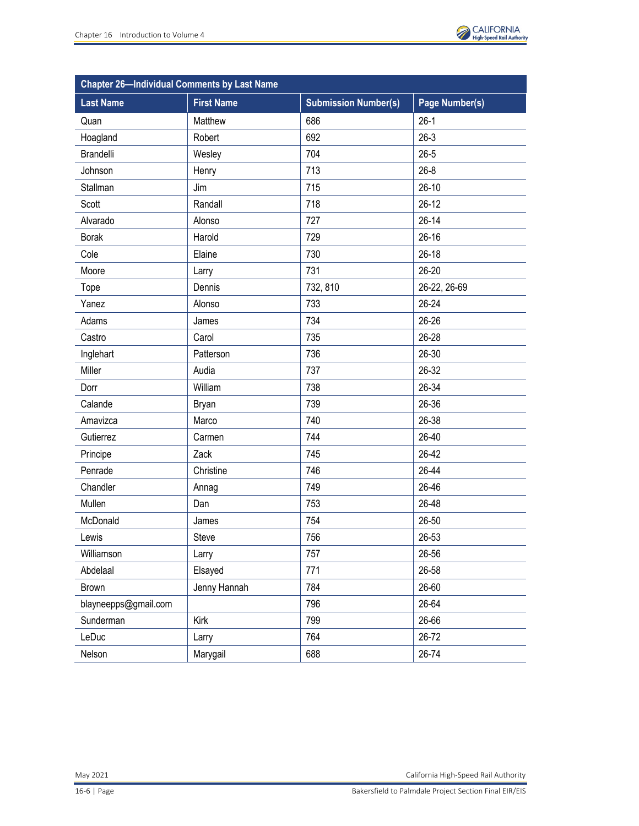

| <b>Chapter 26-Individual Comments by Last Name</b> |                   |                             |                |  |
|----------------------------------------------------|-------------------|-----------------------------|----------------|--|
| <b>Last Name</b>                                   | <b>First Name</b> | <b>Submission Number(s)</b> | Page Number(s) |  |
| Quan                                               | Matthew           | 686                         | $26-1$         |  |
| Hoagland                                           | Robert            | 692                         | $26-3$         |  |
| Brandelli                                          | Wesley            | 704                         | $26 - 5$       |  |
| Johnson                                            | Henry             | 713                         | $26 - 8$       |  |
| Stallman                                           | Jim               | 715                         | $26-10$        |  |
| Scott                                              | Randall           | 718                         | $26-12$        |  |
| Alvarado                                           | Alonso            | 727                         | $26 - 14$      |  |
| <b>Borak</b>                                       | Harold            | 729                         | $26 - 16$      |  |
| Cole                                               | Elaine            | 730                         | $26 - 18$      |  |
| Moore                                              | Larry             | 731                         | $26 - 20$      |  |
| Tope                                               | Dennis            | 732, 810                    | 26-22, 26-69   |  |
| Yanez                                              | Alonso            | 733                         | 26-24          |  |
| Adams                                              | James             | 734                         | $26 - 26$      |  |
| Castro                                             | Carol             | 735                         | 26-28          |  |
| Inglehart                                          | Patterson         | 736                         | $26 - 30$      |  |
| Miller                                             | Audia             | 737                         | 26-32          |  |
| Dorr                                               | William           | 738                         | 26-34          |  |
| Calande                                            | <b>Bryan</b>      | 739                         | 26-36          |  |
| Amavizca                                           | Marco             | 740                         | 26-38          |  |
| Gutierrez                                          | Carmen            | 744                         | $26 - 40$      |  |
| Principe                                           | Zack              | 745                         | 26-42          |  |
| Penrade                                            | Christine         | 746                         | 26-44          |  |
| Chandler                                           | Annag             | 749                         | 26-46          |  |
| Mullen                                             | Dan               | 753                         | 26-48          |  |
| McDonald                                           | James             | 754                         | $26 - 50$      |  |
| Lewis                                              | Steve             | 756                         | 26-53          |  |
| Williamson                                         | Larry             | 757                         | 26-56          |  |
| Abdelaal                                           | Elsayed           | 771                         | 26-58          |  |
| <b>Brown</b>                                       | Jenny Hannah      | 784                         | 26-60          |  |
| blayneepps@gmail.com                               |                   | 796                         | 26-64          |  |
| Sunderman                                          | Kirk              | 799                         | 26-66          |  |
| LeDuc                                              | Larry             | 764                         | 26-72          |  |
| Nelson                                             | Marygail          | 688                         | 26-74          |  |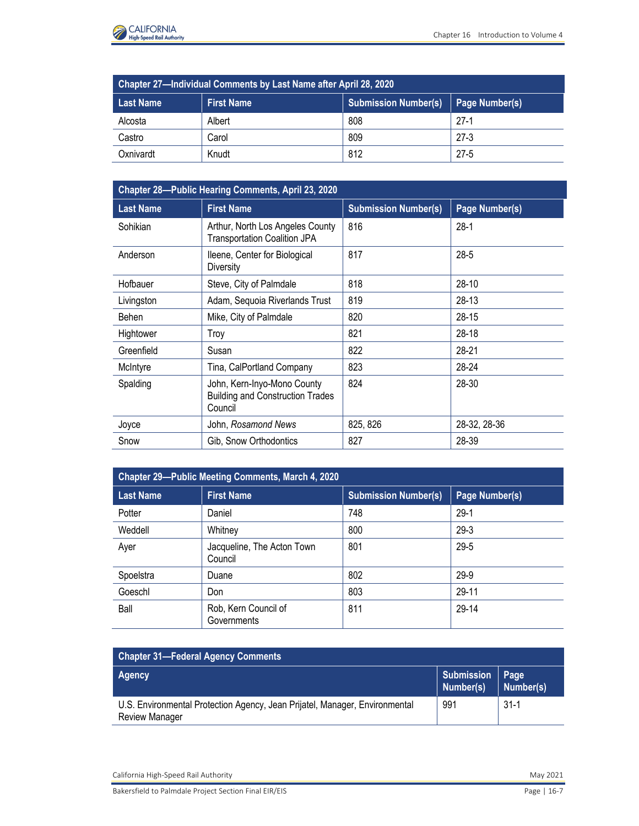

| Chapter 27-Individual Comments by Last Name after April 28, 2020 |                   |                             |                |  |
|------------------------------------------------------------------|-------------------|-----------------------------|----------------|--|
| <b>Last Name</b>                                                 | <b>First Name</b> | <b>Submission Number(s)</b> | Page Number(s) |  |
| Alcosta                                                          | Albert            | 808                         | $27-1$         |  |
| Castro                                                           | Carol             | 809                         | $27-3$         |  |
| Oxnivardt                                                        | Knudt             | 812                         | $27 - 5$       |  |

|                       | Chapter 27-Individual Comments by Last Name after April 28, 2020                  |                             |                   |           |
|-----------------------|-----------------------------------------------------------------------------------|-----------------------------|-------------------|-----------|
| <b>Last Name</b>      | <b>First Name</b>                                                                 | <b>Submission Number(s)</b> | Page Number(s)    |           |
| Alcosta               | Albert                                                                            | 808                         | $27-1$            |           |
| Castro                | Carol                                                                             | 809                         | $27 - 3$          |           |
| Oxnivardt             | Knudt                                                                             | 812                         | $27 - 5$          |           |
|                       |                                                                                   |                             |                   |           |
|                       | Chapter 28-Public Hearing Comments, April 23, 2020                                |                             |                   |           |
| <b>Last Name</b>      | <b>First Name</b>                                                                 | <b>Submission Number(s)</b> | Page Number(s)    |           |
| Sohikian              | Arthur, North Los Angeles County<br><b>Transportation Coalition JPA</b>           | 816                         | $28-1$            |           |
| Anderson              | Ileene, Center for Biological<br><b>Diversity</b>                                 | 817                         | $28 - 5$          |           |
| Hofbauer              | Steve, City of Palmdale                                                           | 818                         | $28 - 10$         |           |
| Livingston            | Adam, Sequoia Riverlands Trust                                                    | 819                         | $28-13$           |           |
| Behen                 | Mike, City of Palmdale                                                            | 820                         | $28 - 15$         |           |
| Hightower             | Troy                                                                              | 821                         | $28 - 18$         |           |
| Greenfield            | Susan                                                                             | 822                         | $28 - 21$         |           |
| McIntyre              | Tina, CalPortland Company                                                         | 823                         | 28-24             |           |
| Spalding              | John, Kern-Inyo-Mono County<br><b>Building and Construction Trades</b><br>Council | 824                         | 28-30             |           |
| Joyce                 | John, Rosamond News                                                               | 825, 826                    | 28-32, 28-36      |           |
| Snow                  | Gib, Snow Orthodontics                                                            | 827                         | 28-39             |           |
|                       | Chapter 29-Public Meeting Comments, March 4, 2020                                 |                             |                   |           |
| <b>Last Name</b>      | <b>First Name</b>                                                                 | <b>Submission Number(s)</b> | Page Number(s)    |           |
| Potter                | Daniel                                                                            | 748                         | $29-1$            |           |
| Weddell               | Whitney                                                                           | 800                         | $29-3$            |           |
| Ayer                  | Jacqueline, The Acton Town<br>Council                                             | 801                         | $29 - 5$          |           |
| Spoelstra             | Duane                                                                             | 802                         | 29-9              |           |
| Goeschl               | Don                                                                               | 803                         | 29-11             |           |
| Ball                  | Rob, Kern Council of<br>Governments                                               | 811                         | 29-14             |           |
|                       | <b>Chapter 31-Federal Agency Comments</b>                                         |                             |                   |           |
| <b>Agency</b>         |                                                                                   |                             | <b>Submission</b> | Page      |
|                       |                                                                                   |                             | Number(s)         | Number(s) |
| <b>Review Manager</b> | U.S. Environmental Protection Agency, Jean Prijatel, Manager, Environmental       |                             | 991               | $31 - 1$  |

| <b>Chapter 29-Public Meeting Comments, March 4, 2020</b> |                                       |                             |                |  |
|----------------------------------------------------------|---------------------------------------|-----------------------------|----------------|--|
| <b>Last Name</b>                                         | <b>First Name</b>                     | <b>Submission Number(s)</b> | Page Number(s) |  |
| Potter                                                   | Daniel                                | 748                         | $29-1$         |  |
| Weddell                                                  | Whitney                               | 800                         | $29-3$         |  |
| Ayer                                                     | Jacqueline, The Acton Town<br>Council | 801                         | $29 - 5$       |  |
| Spoelstra                                                | Duane                                 | 802                         | 29-9           |  |
| Goeschl                                                  | Don                                   | 803                         | 29-11          |  |
| Ball                                                     | Rob, Kern Council of<br>Governments   | 811                         | 29-14          |  |

| <b>Chapter 31-Federal Agency Comments</b>                                                            |                                |                          |
|------------------------------------------------------------------------------------------------------|--------------------------------|--------------------------|
| Agency                                                                                               | <b>Submission</b><br>Number(s) | <b>Page</b><br>Number(s) |
| U.S. Environmental Protection Agency, Jean Prijatel, Manager, Environmental<br><b>Review Manager</b> | 991                            | $31-1$                   |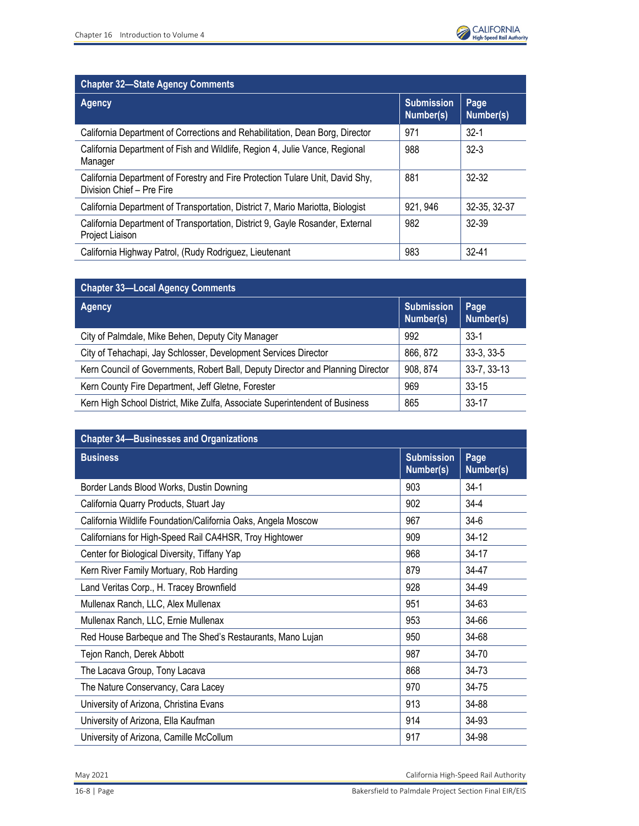

| <b>Chapter 32-State Agency Comments</b>                                                                    |                                |                   |  |
|------------------------------------------------------------------------------------------------------------|--------------------------------|-------------------|--|
| Agency                                                                                                     | <b>Submission</b><br>Number(s) | Page<br>Number(s) |  |
| California Department of Corrections and Rehabilitation, Dean Borg, Director                               | 971                            | $32-1$            |  |
| California Department of Fish and Wildlife, Region 4, Julie Vance, Regional<br>Manager                     | 988                            | $32-3$            |  |
| California Department of Forestry and Fire Protection Tulare Unit, David Shy,<br>Division Chief - Pre Fire | 881                            | $32-32$           |  |
| California Department of Transportation, District 7, Mario Mariotta, Biologist                             | 921, 946                       | 32-35, 32-37      |  |
| California Department of Transportation, District 9, Gayle Rosander, External<br>Project Liaison           | 982                            | $32-39$           |  |
| California Highway Patrol, (Rudy Rodriguez, Lieutenant                                                     | 983                            | $32 - 41$         |  |

| <b>Chapter 33-Local Agency Comments</b>                                         |                                |                   |  |
|---------------------------------------------------------------------------------|--------------------------------|-------------------|--|
| <b>Agency</b>                                                                   | <b>Submission</b><br>Number(s) | Page<br>Number(s) |  |
| City of Palmdale, Mike Behen, Deputy City Manager                               | 992                            | $33-1$            |  |
| City of Tehachapi, Jay Schlosser, Development Services Director                 | 866, 872                       | $33-3, 33-5$      |  |
| Kern Council of Governments, Robert Ball, Deputy Director and Planning Director | 908, 874                       | 33-7, 33-13       |  |
| Kern County Fire Department, Jeff Gletne, Forester                              | 969                            | $33 - 15$         |  |
| Kern High School District, Mike Zulfa, Associate Superintendent of Business     | 865                            | $33 - 17$         |  |

| <b>Chapter 34-Businesses and Organizations</b>                |                                |                   |  |
|---------------------------------------------------------------|--------------------------------|-------------------|--|
| <b>Business</b>                                               | <b>Submission</b><br>Number(s) | Page<br>Number(s) |  |
| Border Lands Blood Works, Dustin Downing                      | 903                            | $34-1$            |  |
| California Quarry Products, Stuart Jay                        | 902                            | $34 - 4$          |  |
| California Wildlife Foundation/California Oaks, Angela Moscow | 967                            | $34-6$            |  |
| Californians for High-Speed Rail CA4HSR, Troy Hightower       | 909                            | $34 - 12$         |  |
| Center for Biological Diversity, Tiffany Yap                  | 968                            | $34-17$           |  |
| Kern River Family Mortuary, Rob Harding                       | 879                            | 34-47             |  |
| Land Veritas Corp., H. Tracey Brownfield                      | 928                            | 34-49             |  |
| Mullenax Ranch, LLC, Alex Mullenax                            | 951                            | 34-63             |  |
| Mullenax Ranch, LLC, Ernie Mullenax                           | 953                            | 34-66             |  |
| Red House Barbeque and The Shed's Restaurants, Mano Lujan     | 950                            | 34-68             |  |
| Tejon Ranch, Derek Abbott                                     | 987                            | 34-70             |  |
| The Lacava Group, Tony Lacava                                 | 868                            | 34-73             |  |
| The Nature Conservancy, Cara Lacey                            | 970                            | 34-75             |  |
| University of Arizona, Christina Evans                        | 913                            | 34-88             |  |
| University of Arizona, Ella Kaufman                           | 914                            | 34-93             |  |
| University of Arizona, Camille McCollum                       | 917                            | 34-98             |  |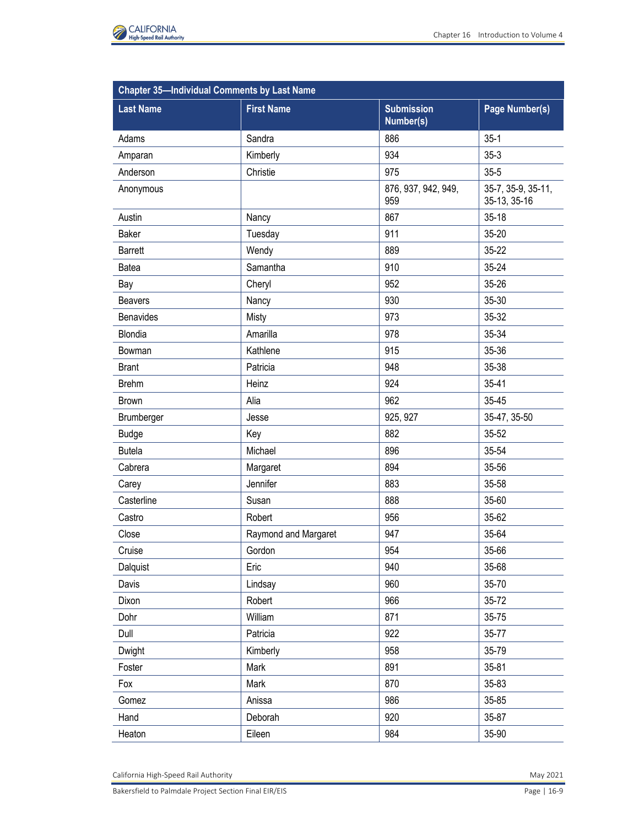

| <b>Chapter 35-Individual Comments by Last Name</b> |                      |                                |                                    |  |
|----------------------------------------------------|----------------------|--------------------------------|------------------------------------|--|
| <b>Last Name</b>                                   | <b>First Name</b>    | <b>Submission</b><br>Number(s) | Page Number(s)                     |  |
| Adams                                              | Sandra               | 886                            | $35-1$                             |  |
| Amparan                                            | Kimberly             | 934                            | $35-3$                             |  |
| Anderson                                           | Christie             | 975                            | $35 - 5$                           |  |
| Anonymous                                          |                      | 876, 937, 942, 949,<br>959     | 35-7, 35-9, 35-11,<br>35-13, 35-16 |  |
| Austin                                             | Nancy                | 867                            | $35 - 18$                          |  |
| <b>Baker</b>                                       | Tuesday              | 911                            | 35-20                              |  |
| <b>Barrett</b>                                     | Wendy                | 889                            | 35-22                              |  |
| Batea                                              | Samantha             | 910                            | 35-24                              |  |
| Bay                                                | Cheryl               | 952                            | 35-26                              |  |
| <b>Beavers</b>                                     | Nancy                | 930                            | 35-30                              |  |
| <b>Benavides</b>                                   | Misty                | 973                            | 35-32                              |  |
| Blondia                                            | Amarilla             | 978                            | 35-34                              |  |
| Bowman                                             | Kathlene             | 915                            | 35-36                              |  |
| <b>Brant</b>                                       | Patricia             | 948                            | 35-38                              |  |
| <b>Brehm</b>                                       | Heinz                | 924                            | 35-41                              |  |
| <b>Brown</b>                                       | Alia                 | 962                            | 35-45                              |  |
| Brumberger                                         | Jesse                | 925, 927                       | 35-47, 35-50                       |  |
| <b>Budge</b>                                       | Key                  | 882                            | 35-52                              |  |
| <b>Butela</b>                                      | Michael              | 896                            | 35-54                              |  |
| Cabrera                                            | Margaret             | 894                            | 35-56                              |  |
| Carey                                              | Jennifer             | 883                            | 35-58                              |  |
| Casterline                                         | Susan                | 888                            | 35-60                              |  |
| Castro                                             | Robert               | 956                            | 35-62                              |  |
| Close                                              | Raymond and Margaret | 947                            | 35-64                              |  |
| Cruise                                             | Gordon               | 954                            | 35-66                              |  |
| Dalquist                                           | Eric                 | 940                            | 35-68                              |  |
| Davis                                              | Lindsay              | 960                            | 35-70                              |  |
| Dixon                                              | Robert               | 966                            | 35-72                              |  |
| Dohr                                               | William              | 871                            | 35-75                              |  |
| Dull                                               | Patricia             | 922                            | 35-77                              |  |
| Dwight                                             | Kimberly             | 958                            | 35-79                              |  |
| Foster                                             | Mark                 | 891                            | $35 - 81$                          |  |
| Fox                                                | Mark                 | 870                            | 35-83                              |  |
| Gomez                                              | Anissa               | 986                            | 35-85                              |  |
| Hand                                               | Deborah              | 920                            | 35-87                              |  |
| Heaton                                             | Eileen               | 984                            | 35-90                              |  |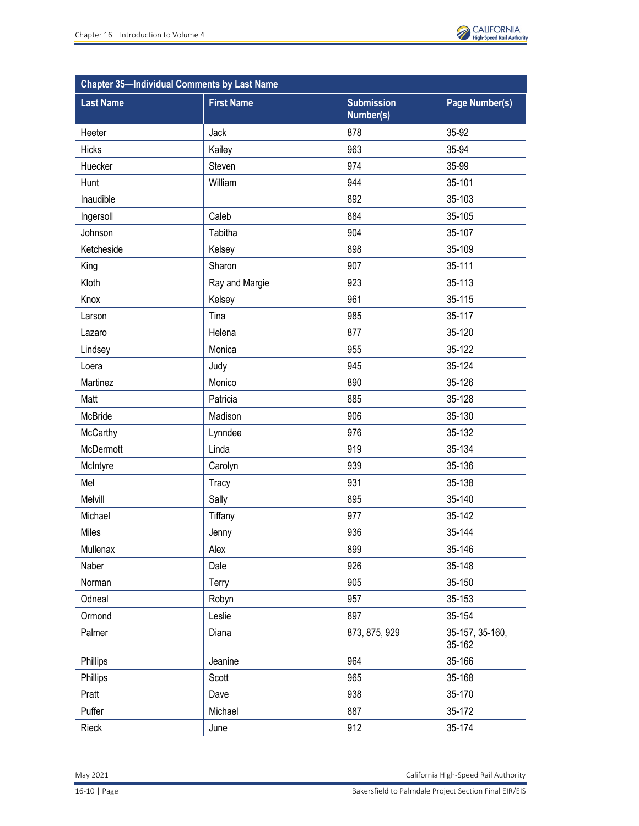

| <b>Chapter 35-Individual Comments by Last Name</b> |                   |                                |                           |
|----------------------------------------------------|-------------------|--------------------------------|---------------------------|
| <b>Last Name</b>                                   | <b>First Name</b> | <b>Submission</b><br>Number(s) | Page Number(s)            |
| Heeter                                             | Jack              | 878                            | 35-92                     |
| Hicks                                              | Kailey            | 963                            | 35-94                     |
| Huecker                                            | Steven            | 974                            | 35-99                     |
| Hunt                                               | William           | 944                            | 35-101                    |
| Inaudible                                          |                   | 892                            | 35-103                    |
| Ingersoll                                          | Caleb             | 884                            | 35-105                    |
| Johnson                                            | Tabitha           | 904                            | 35-107                    |
| Ketcheside                                         | Kelsey            | 898                            | 35-109                    |
| King                                               | Sharon            | 907                            | 35-111                    |
| Kloth                                              | Ray and Margie    | 923                            | 35-113                    |
| Knox                                               | Kelsey            | 961                            | 35-115                    |
| Larson                                             | Tina              | 985                            | 35-117                    |
| Lazaro                                             | Helena            | 877                            | 35-120                    |
| Lindsey                                            | Monica            | 955                            | 35-122                    |
| Loera                                              | Judy              | 945                            | 35-124                    |
| Martinez                                           | Monico            | 890                            | 35-126                    |
| Matt                                               | Patricia          | 885                            | 35-128                    |
| McBride                                            | Madison           | 906                            | 35-130                    |
| McCarthy                                           | Lynndee           | 976                            | 35-132                    |
| McDermott                                          | Linda             | 919                            | 35-134                    |
| McIntyre                                           | Carolyn           | 939                            | 35-136                    |
| Mel                                                | Tracy             | 931                            | 35-138                    |
| Melvill                                            | Sally             | 895                            | 35-140                    |
| Michael                                            | Tiffany           | 977                            | 35-142                    |
| Miles                                              | Jenny             | 936                            | 35-144                    |
| Mullenax                                           | Alex              | 899                            | 35-146                    |
| Naber                                              | Dale              | 926                            | 35-148                    |
| Norman                                             | Terry             | 905                            | 35-150                    |
| Odneal                                             | Robyn             | 957                            | 35-153                    |
| Ormond                                             | Leslie            | 897                            | 35-154                    |
| Palmer                                             | Diana             | 873, 875, 929                  | 35-157, 35-160,<br>35-162 |
| Phillips                                           | Jeanine           | 964                            | 35-166                    |
| Phillips                                           | Scott             | 965                            | 35-168                    |
| Pratt                                              | Dave              | 938                            | 35-170                    |
| Puffer                                             | Michael           | 887                            | 35-172                    |
| Rieck                                              | June              | 912                            | 35-174                    |

May 2021 California High-Speed Rail Authority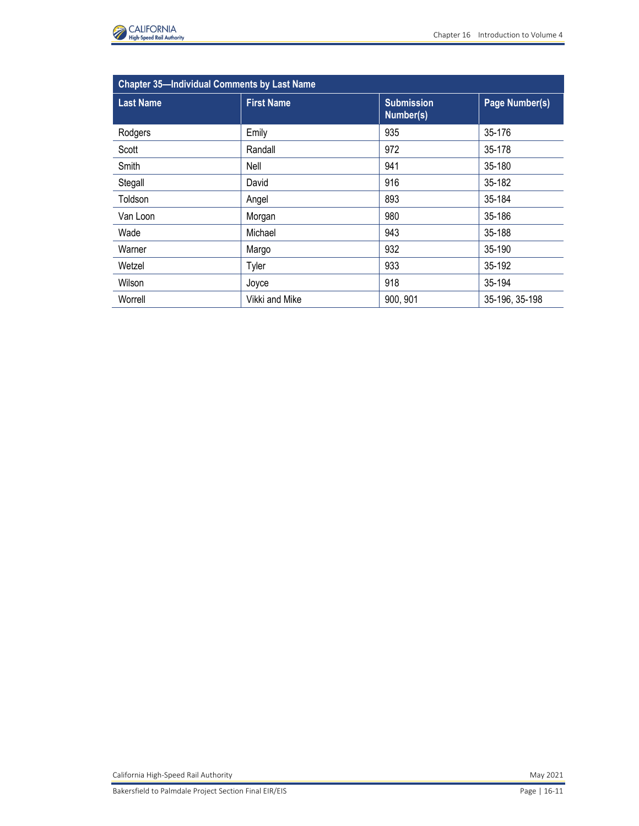

| <b>Chapter 35-Individual Comments by Last Name</b> |                   |                                |                |
|----------------------------------------------------|-------------------|--------------------------------|----------------|
| <b>Last Name</b>                                   | <b>First Name</b> | <b>Submission</b><br>Number(s) | Page Number(s) |
| Rodgers                                            | Emily             | 935                            | 35-176         |
| Scott                                              | Randall           | 972                            | 35-178         |
| Smith                                              | Nell              | 941                            | 35-180         |
| Stegall                                            | David             | 916                            | 35-182         |
| Toldson                                            | Angel             | 893                            | 35-184         |
| Van Loon                                           | Morgan            | 980                            | 35-186         |
| Wade                                               | Michael           | 943                            | 35-188         |
| Warner                                             | Margo             | 932                            | 35-190         |
| Wetzel                                             | Tyler             | 933                            | 35-192         |
| Wilson                                             | Joyce             | 918                            | 35-194         |
| Worrell                                            | Vikki and Mike    | 900, 901                       | 35-196, 35-198 |